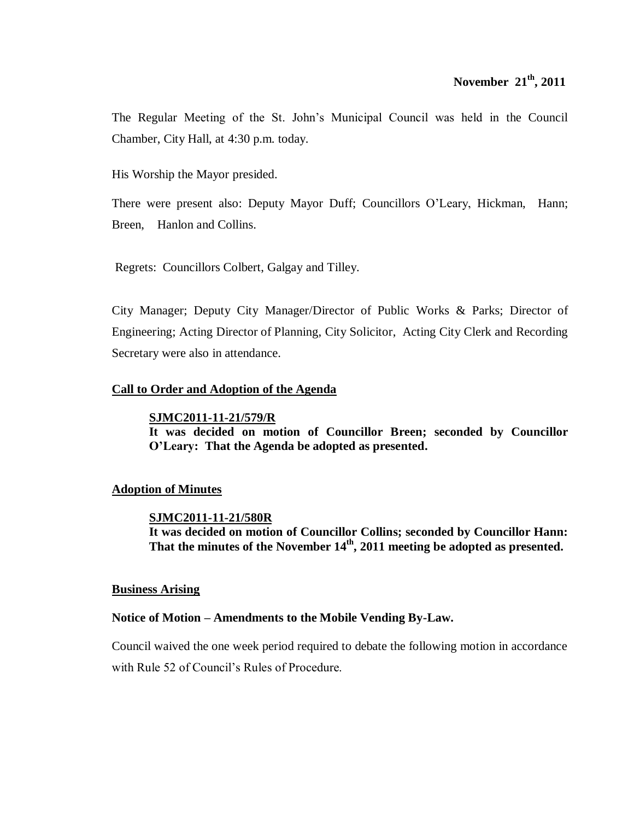The Regular Meeting of the St. John's Municipal Council was held in the Council Chamber, City Hall, at 4:30 p.m. today.

His Worship the Mayor presided.

There were present also: Deputy Mayor Duff; Councillors O'Leary, Hickman, Hann; Breen, Hanlon and Collins.

Regrets: Councillors Colbert, Galgay and Tilley.

City Manager; Deputy City Manager/Director of Public Works & Parks; Director of Engineering; Acting Director of Planning, City Solicitor, Acting City Clerk and Recording Secretary were also in attendance.

# **Call to Order and Adoption of the Agenda**

# **SJMC2011-11-21/579/R**

**It was decided on motion of Councillor Breen; seconded by Councillor O'Leary: That the Agenda be adopted as presented.**

# **Adoption of Minutes**

# **SJMC2011-11-21/580R**

**It was decided on motion of Councillor Collins; seconded by Councillor Hann: That the minutes of the November 14th , 2011 meeting be adopted as presented.**

# **Business Arising**

# **Notice of Motion – Amendments to the Mobile Vending By-Law.**

Council waived the one week period required to debate the following motion in accordance with Rule 52 of Council's Rules of Procedure.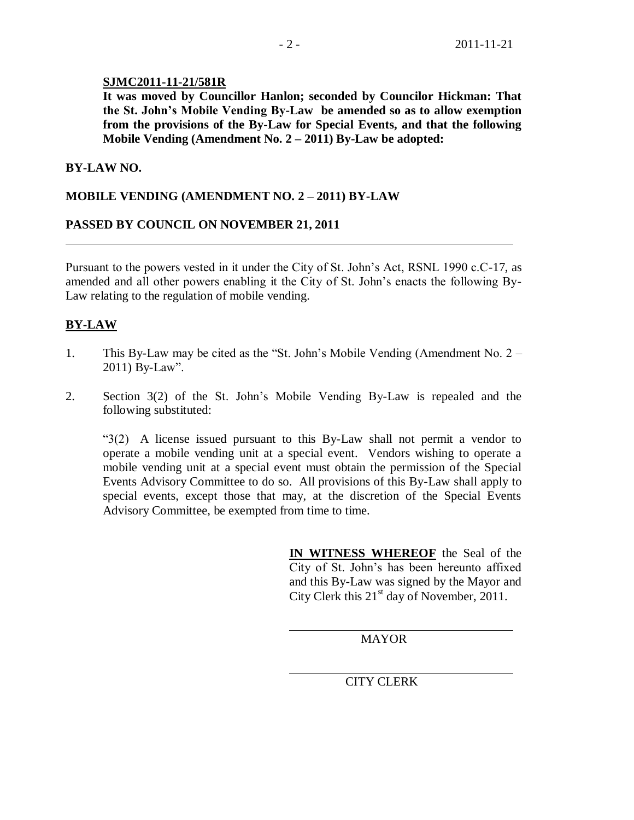## **SJMC2011-11-21/581R**

**It was moved by Councillor Hanlon; seconded by Councilor Hickman: That the St. John's Mobile Vending By-Law be amended so as to allow exemption from the provisions of the By-Law for Special Events, and that the following Mobile Vending (Amendment No. 2 – 2011) By-Law be adopted:**

## **BY-LAW NO.**

## **MOBILE VENDING (AMENDMENT NO. 2 – 2011) BY-LAW**

## **PASSED BY COUNCIL ON NOVEMBER 21, 2011**

Pursuant to the powers vested in it under the City of St. John's Act, RSNL 1990 c.C-17, as amended and all other powers enabling it the City of St. John's enacts the following By-Law relating to the regulation of mobile vending.

# **BY-LAW**

- 1. This By-Law may be cited as the "St. John's Mobile Vending (Amendment No. 2 2011) By-Law".
- 2. Section 3(2) of the St. John's Mobile Vending By-Law is repealed and the following substituted:

"3(2) A license issued pursuant to this By-Law shall not permit a vendor to operate a mobile vending unit at a special event. Vendors wishing to operate a mobile vending unit at a special event must obtain the permission of the Special Events Advisory Committee to do so. All provisions of this By-Law shall apply to special events, except those that may, at the discretion of the Special Events Advisory Committee, be exempted from time to time.

> **IN WITNESS WHEREOF** the Seal of the City of St. John's has been hereunto affixed and this By-Law was signed by the Mayor and City Clerk this  $21<sup>st</sup>$  day of November, 2011.

> > MAYOR

CITY CLERK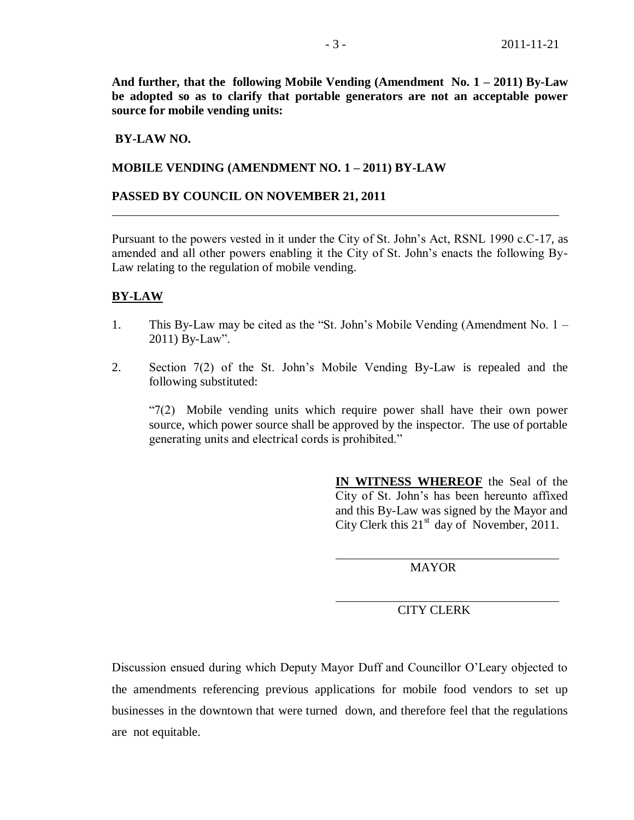**And further, that the following Mobile Vending (Amendment No. 1 – 2011) By-Law be adopted so as to clarify that portable generators are not an acceptable power source for mobile vending units:**

## **BY-LAW NO.**

### **MOBILE VENDING (AMENDMENT NO. 1 – 2011) BY-LAW**

#### **PASSED BY COUNCIL ON NOVEMBER 21, 2011**

Pursuant to the powers vested in it under the City of St. John's Act, RSNL 1990 c.C-17, as amended and all other powers enabling it the City of St. John's enacts the following By-Law relating to the regulation of mobile vending.

#### **BY-LAW**

- 1. This By-Law may be cited as the "St. John's Mobile Vending (Amendment No. 1 2011) By-Law".
- 2. Section 7(2) of the St. John's Mobile Vending By-Law is repealed and the following substituted:

"7(2) Mobile vending units which require power shall have their own power source, which power source shall be approved by the inspector. The use of portable generating units and electrical cords is prohibited."

> **IN WITNESS WHEREOF** the Seal of the City of St. John's has been hereunto affixed and this By-Law was signed by the Mayor and City Clerk this  $21<sup>st</sup>$  day of November, 2011.

> > MAYOR

### CITY CLERK

Discussion ensued during which Deputy Mayor Duff and Councillor O'Leary objected to the amendments referencing previous applications for mobile food vendors to set up businesses in the downtown that were turned down, and therefore feel that the regulations are not equitable.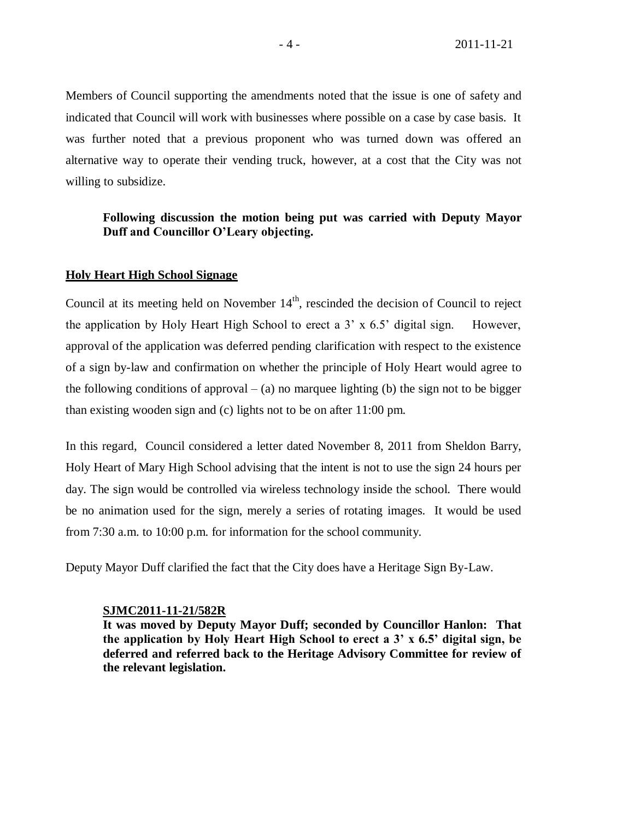Members of Council supporting the amendments noted that the issue is one of safety and indicated that Council will work with businesses where possible on a case by case basis. It was further noted that a previous proponent who was turned down was offered an alternative way to operate their vending truck, however, at a cost that the City was not willing to subsidize.

## **Following discussion the motion being put was carried with Deputy Mayor Duff and Councillor O'Leary objecting.**

#### **Holy Heart High School Signage**

Council at its meeting held on November  $14<sup>th</sup>$ , rescinded the decision of Council to reject the application by Holy Heart High School to erect a 3' x 6.5' digital sign. However, approval of the application was deferred pending clarification with respect to the existence of a sign by-law and confirmation on whether the principle of Holy Heart would agree to the following conditions of approval  $-$  (a) no marquee lighting (b) the sign not to be bigger than existing wooden sign and (c) lights not to be on after 11:00 pm.

In this regard, Council considered a letter dated November 8, 2011 from Sheldon Barry, Holy Heart of Mary High School advising that the intent is not to use the sign 24 hours per day. The sign would be controlled via wireless technology inside the school. There would be no animation used for the sign, merely a series of rotating images. It would be used from 7:30 a.m. to 10:00 p.m. for information for the school community.

Deputy Mayor Duff clarified the fact that the City does have a Heritage Sign By-Law.

#### **SJMC2011-11-21/582R**

**It was moved by Deputy Mayor Duff; seconded by Councillor Hanlon: That the application by Holy Heart High School to erect a 3' x 6.5' digital sign, be deferred and referred back to the Heritage Advisory Committee for review of the relevant legislation.**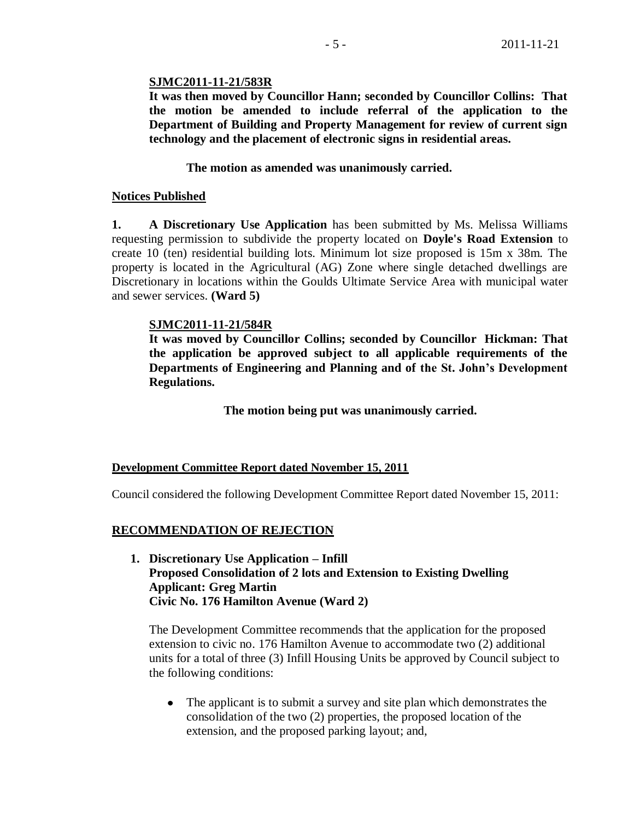## **SJMC2011-11-21/583R**

**It was then moved by Councillor Hann; seconded by Councillor Collins: That the motion be amended to include referral of the application to the Department of Building and Property Management for review of current sign technology and the placement of electronic signs in residential areas.**

# **The motion as amended was unanimously carried.**

## **Notices Published**

**1. A Discretionary Use Application** has been submitted by Ms. Melissa Williams requesting permission to subdivide the property located on **Doyle's Road Extension** to create 10 (ten) residential building lots. Minimum lot size proposed is 15m x 38m. The property is located in the Agricultural (AG) Zone where single detached dwellings are Discretionary in locations within the Goulds Ultimate Service Area with municipal water and sewer services. **(Ward 5)**

## **SJMC2011-11-21/584R**

**It was moved by Councillor Collins; seconded by Councillor Hickman: That the application be approved subject to all applicable requirements of the Departments of Engineering and Planning and of the St. John's Development Regulations.**

**The motion being put was unanimously carried.** 

# **Development Committee Report dated November 15, 2011**

Council considered the following Development Committee Report dated November 15, 2011:

# **RECOMMENDATION OF REJECTION**

**1. Discretionary Use Application – Infill Proposed Consolidation of 2 lots and Extension to Existing Dwelling Applicant: Greg Martin Civic No. 176 Hamilton Avenue (Ward 2)**

The Development Committee recommends that the application for the proposed extension to civic no. 176 Hamilton Avenue to accommodate two (2) additional units for a total of three (3) Infill Housing Units be approved by Council subject to the following conditions:

• The applicant is to submit a survey and site plan which demonstrates the consolidation of the two (2) properties, the proposed location of the extension, and the proposed parking layout; and,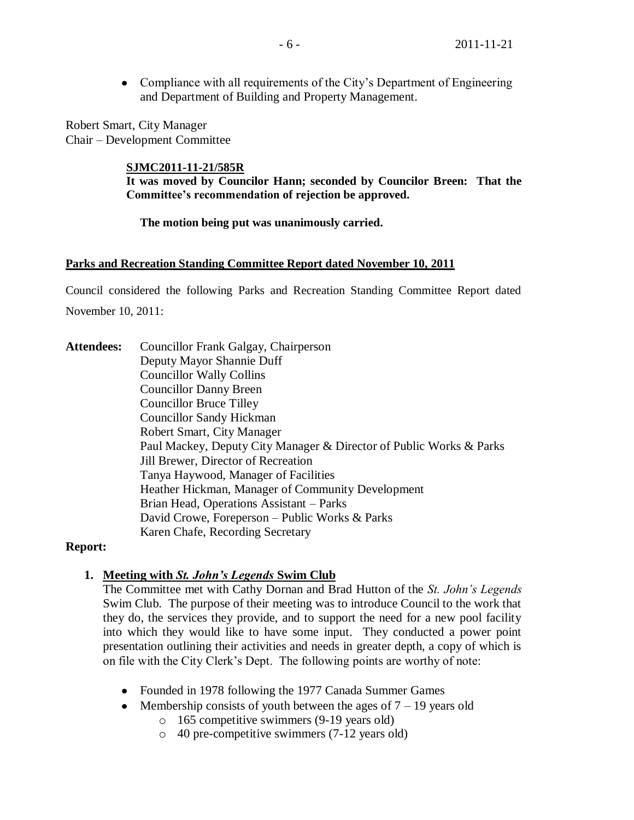Compliance with all requirements of the City's Department of Engineering  $\bullet$ and Department of Building and Property Management.

Robert Smart, City Manager Chair – Development Committee

# **SJMC2011-11-21/585R**

**It was moved by Councilor Hann; seconded by Councilor Breen: That the Committee's recommendation of rejection be approved.**

**The motion being put was unanimously carried.**

### **Parks and Recreation Standing Committee Report dated November 10, 2011**

Council considered the following Parks and Recreation Standing Committee Report dated November 10, 2011:

**Attendees:** Councillor Frank Galgay, Chairperson Deputy Mayor Shannie Duff Councillor Wally Collins Councillor Danny Breen Councillor Bruce Tilley Councillor Sandy Hickman Robert Smart, City Manager Paul Mackey, Deputy City Manager & Director of Public Works & Parks Jill Brewer, Director of Recreation Tanya Haywood, Manager of Facilities Heather Hickman, Manager of Community Development Brian Head, Operations Assistant – Parks David Crowe, Foreperson – Public Works & Parks Karen Chafe, Recording Secretary

# **Report:**

# **1. Meeting with** *St. John's Legends* **Swim Club**

The Committee met with Cathy Dornan and Brad Hutton of the *St. John's Legends*  Swim Club. The purpose of their meeting was to introduce Council to the work that they do, the services they provide, and to support the need for a new pool facility into which they would like to have some input. They conducted a power point presentation outlining their activities and needs in greater depth, a copy of which is on file with the City Clerk's Dept. The following points are worthy of note:

- Founded in 1978 following the 1977 Canada Summer Games
- Membership consists of youth between the ages of  $7 19$  years old
	- o 165 competitive swimmers (9-19 years old)
	- o 40 pre-competitive swimmers (7-12 years old)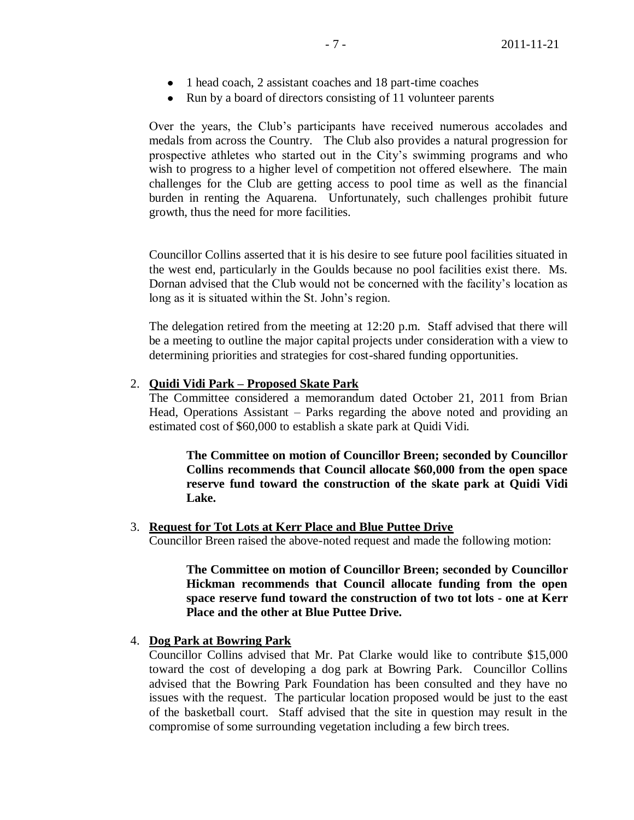- 1 head coach, 2 assistant coaches and 18 part-time coaches
- Run by a board of directors consisting of 11 volunteer parents

Over the years, the Club's participants have received numerous accolades and medals from across the Country. The Club also provides a natural progression for prospective athletes who started out in the City's swimming programs and who wish to progress to a higher level of competition not offered elsewhere. The main challenges for the Club are getting access to pool time as well as the financial burden in renting the Aquarena. Unfortunately, such challenges prohibit future growth, thus the need for more facilities.

Councillor Collins asserted that it is his desire to see future pool facilities situated in the west end, particularly in the Goulds because no pool facilities exist there. Ms. Dornan advised that the Club would not be concerned with the facility's location as long as it is situated within the St. John's region.

The delegation retired from the meeting at 12:20 p.m. Staff advised that there will be a meeting to outline the major capital projects under consideration with a view to determining priorities and strategies for cost-shared funding opportunities.

### 2. **Quidi Vidi Park – Proposed Skate Park**

The Committee considered a memorandum dated October 21, 2011 from Brian Head, Operations Assistant – Parks regarding the above noted and providing an estimated cost of \$60,000 to establish a skate park at Quidi Vidi.

**The Committee on motion of Councillor Breen; seconded by Councillor Collins recommends that Council allocate \$60,000 from the open space reserve fund toward the construction of the skate park at Quidi Vidi Lake.**

3. **Request for Tot Lots at Kerr Place and Blue Puttee Drive**

Councillor Breen raised the above-noted request and made the following motion:

**The Committee on motion of Councillor Breen; seconded by Councillor Hickman recommends that Council allocate funding from the open space reserve fund toward the construction of two tot lots - one at Kerr Place and the other at Blue Puttee Drive.**

#### 4. **Dog Park at Bowring Park**

Councillor Collins advised that Mr. Pat Clarke would like to contribute \$15,000 toward the cost of developing a dog park at Bowring Park. Councillor Collins advised that the Bowring Park Foundation has been consulted and they have no issues with the request. The particular location proposed would be just to the east of the basketball court. Staff advised that the site in question may result in the compromise of some surrounding vegetation including a few birch trees.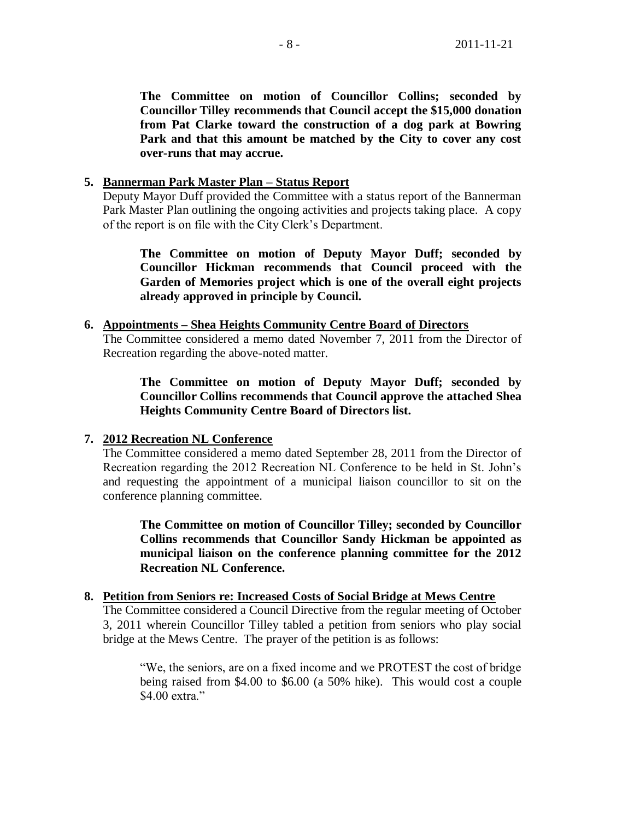**The Committee on motion of Councillor Collins; seconded by Councillor Tilley recommends that Council accept the \$15,000 donation from Pat Clarke toward the construction of a dog park at Bowring Park and that this amount be matched by the City to cover any cost over-runs that may accrue.** 

# **5. Bannerman Park Master Plan – Status Report**

Deputy Mayor Duff provided the Committee with a status report of the Bannerman Park Master Plan outlining the ongoing activities and projects taking place. A copy of the report is on file with the City Clerk's Department.

**The Committee on motion of Deputy Mayor Duff; seconded by Councillor Hickman recommends that Council proceed with the Garden of Memories project which is one of the overall eight projects already approved in principle by Council.**

## **6. Appointments – Shea Heights Community Centre Board of Directors**

The Committee considered a memo dated November 7, 2011 from the Director of Recreation regarding the above-noted matter.

**The Committee on motion of Deputy Mayor Duff; seconded by Councillor Collins recommends that Council approve the attached Shea Heights Community Centre Board of Directors list.**

# **7. 2012 Recreation NL Conference**

The Committee considered a memo dated September 28, 2011 from the Director of Recreation regarding the 2012 Recreation NL Conference to be held in St. John's and requesting the appointment of a municipal liaison councillor to sit on the conference planning committee.

**The Committee on motion of Councillor Tilley; seconded by Councillor Collins recommends that Councillor Sandy Hickman be appointed as municipal liaison on the conference planning committee for the 2012 Recreation NL Conference.**

### **8. Petition from Seniors re: Increased Costs of Social Bridge at Mews Centre**

The Committee considered a Council Directive from the regular meeting of October 3, 2011 wherein Councillor Tilley tabled a petition from seniors who play social bridge at the Mews Centre. The prayer of the petition is as follows:

"We, the seniors, are on a fixed income and we PROTEST the cost of bridge being raised from \$4.00 to \$6.00 (a 50% hike). This would cost a couple \$4.00 extra."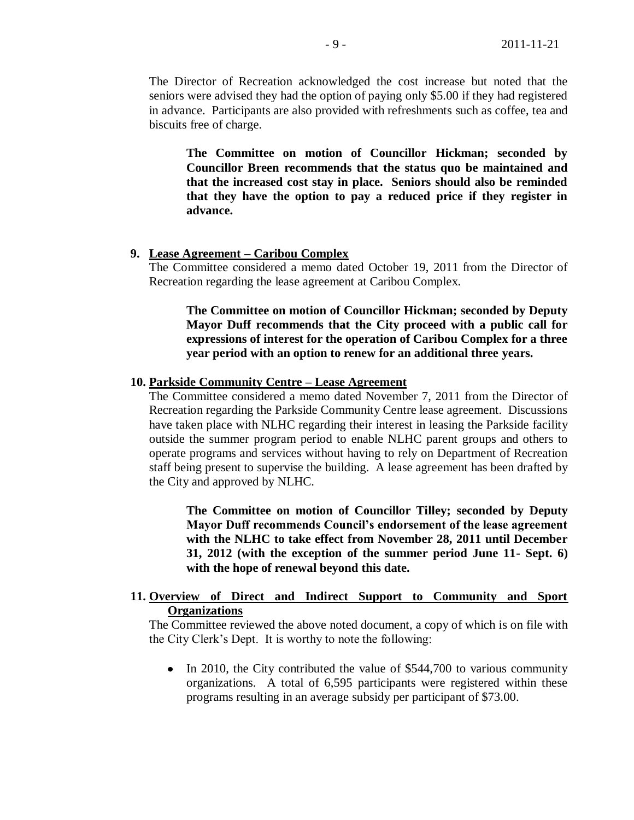The Director of Recreation acknowledged the cost increase but noted that the seniors were advised they had the option of paying only \$5.00 if they had registered in advance. Participants are also provided with refreshments such as coffee, tea and biscuits free of charge.

**The Committee on motion of Councillor Hickman; seconded by Councillor Breen recommends that the status quo be maintained and that the increased cost stay in place. Seniors should also be reminded that they have the option to pay a reduced price if they register in advance.**

### **9. Lease Agreement – Caribou Complex**

The Committee considered a memo dated October 19, 2011 from the Director of Recreation regarding the lease agreement at Caribou Complex.

**The Committee on motion of Councillor Hickman; seconded by Deputy Mayor Duff recommends that the City proceed with a public call for expressions of interest for the operation of Caribou Complex for a three year period with an option to renew for an additional three years.**

#### **10. Parkside Community Centre – Lease Agreement**

The Committee considered a memo dated November 7, 2011 from the Director of Recreation regarding the Parkside Community Centre lease agreement. Discussions have taken place with NLHC regarding their interest in leasing the Parkside facility outside the summer program period to enable NLHC parent groups and others to operate programs and services without having to rely on Department of Recreation staff being present to supervise the building. A lease agreement has been drafted by the City and approved by NLHC.

**The Committee on motion of Councillor Tilley; seconded by Deputy Mayor Duff recommends Council's endorsement of the lease agreement with the NLHC to take effect from November 28, 2011 until December 31, 2012 (with the exception of the summer period June 11- Sept. 6) with the hope of renewal beyond this date.**

## **11. Overview of Direct and Indirect Support to Community and Sport Organizations**

The Committee reviewed the above noted document, a copy of which is on file with the City Clerk's Dept. It is worthy to note the following:

• In 2010, the City contributed the value of \$544,700 to various community organizations. A total of 6,595 participants were registered within these programs resulting in an average subsidy per participant of \$73.00.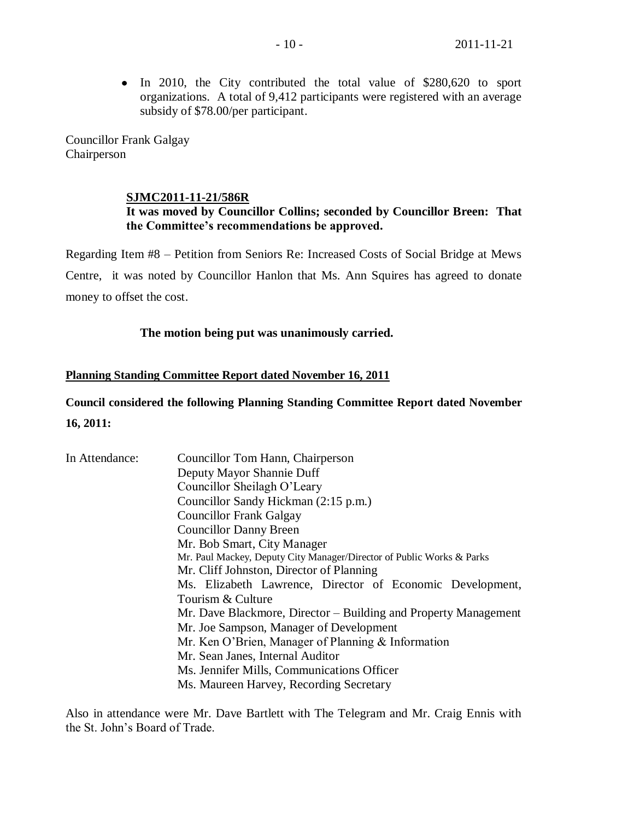• In 2010, the City contributed the total value of \$280,620 to sport organizations. A total of 9,412 participants were registered with an average subsidy of \$78.00/per participant.

Councillor Frank Galgay Chairperson

## **SJMC2011-11-21/586R**

# **It was moved by Councillor Collins; seconded by Councillor Breen: That the Committee's recommendations be approved.**

Regarding Item #8 – Petition from Seniors Re: Increased Costs of Social Bridge at Mews Centre, it was noted by Councillor Hanlon that Ms. Ann Squires has agreed to donate money to offset the cost.

## **The motion being put was unanimously carried.**

## **Planning Standing Committee Report dated November 16, 2011**

# **Council considered the following Planning Standing Committee Report dated November 16, 2011:**

| In Attendance: | Councillor Tom Hann, Chairperson                                      |  |  |  |  |  |  |
|----------------|-----------------------------------------------------------------------|--|--|--|--|--|--|
|                | Deputy Mayor Shannie Duff                                             |  |  |  |  |  |  |
|                | Councillor Sheilagh O'Leary                                           |  |  |  |  |  |  |
|                | Councillor Sandy Hickman (2:15 p.m.)                                  |  |  |  |  |  |  |
|                | <b>Councillor Frank Galgay</b>                                        |  |  |  |  |  |  |
|                | <b>Councillor Danny Breen</b>                                         |  |  |  |  |  |  |
|                | Mr. Bob Smart, City Manager                                           |  |  |  |  |  |  |
|                | Mr. Paul Mackey, Deputy City Manager/Director of Public Works & Parks |  |  |  |  |  |  |
|                | Mr. Cliff Johnston, Director of Planning                              |  |  |  |  |  |  |
|                | Ms. Elizabeth Lawrence, Director of Economic Development,             |  |  |  |  |  |  |
|                | Tourism & Culture                                                     |  |  |  |  |  |  |
|                | Mr. Dave Blackmore, Director – Building and Property Management       |  |  |  |  |  |  |
|                | Mr. Joe Sampson, Manager of Development                               |  |  |  |  |  |  |
|                | Mr. Ken O'Brien, Manager of Planning & Information                    |  |  |  |  |  |  |
|                | Mr. Sean Janes, Internal Auditor                                      |  |  |  |  |  |  |
|                | Ms. Jennifer Mills, Communications Officer                            |  |  |  |  |  |  |
|                | Ms. Maureen Harvey, Recording Secretary                               |  |  |  |  |  |  |

Also in attendance were Mr. Dave Bartlett with The Telegram and Mr. Craig Ennis with the St. John's Board of Trade.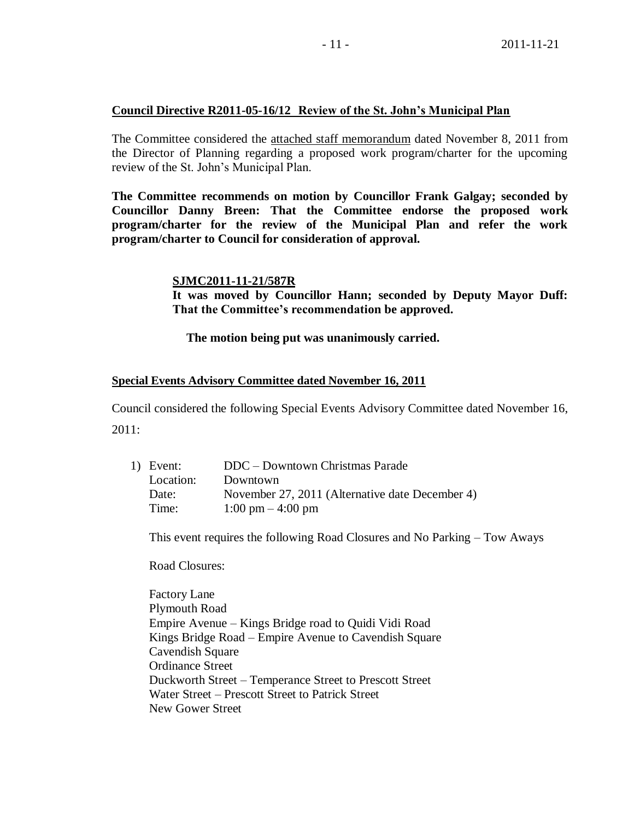# **Council Directive R2011-05-16/12 Review of the St. John's Municipal Plan**

The Committee considered the attached staff memorandum dated November 8, 2011 from the Director of Planning regarding a proposed work program/charter for the upcoming review of the St. John's Municipal Plan.

**The Committee recommends on motion by Councillor Frank Galgay; seconded by Councillor Danny Breen: That the Committee endorse the proposed work program/charter for the review of the Municipal Plan and refer the work program/charter to Council for consideration of approval.**

## **SJMC2011-11-21/587R**

**It was moved by Councillor Hann; seconded by Deputy Mayor Duff: That the Committee's recommendation be approved.**

# **The motion being put was unanimously carried.**

### **Special Events Advisory Committee dated November 16, 2011**

Council considered the following Special Events Advisory Committee dated November 16, 2011:

| 1) Event: | DDC – Downtown Christmas Parade                 |
|-----------|-------------------------------------------------|
| Location: | Downtown                                        |
| Date:     | November 27, 2011 (Alternative date December 4) |
| Time:     | $1:00 \text{ pm} - 4:00 \text{ pm}$             |

This event requires the following Road Closures and No Parking – Tow Aways

Road Closures:

Factory Lane Plymouth Road Empire Avenue – Kings Bridge road to Quidi Vidi Road Kings Bridge Road – Empire Avenue to Cavendish Square Cavendish Square Ordinance Street Duckworth Street – Temperance Street to Prescott Street Water Street – Prescott Street to Patrick Street New Gower Street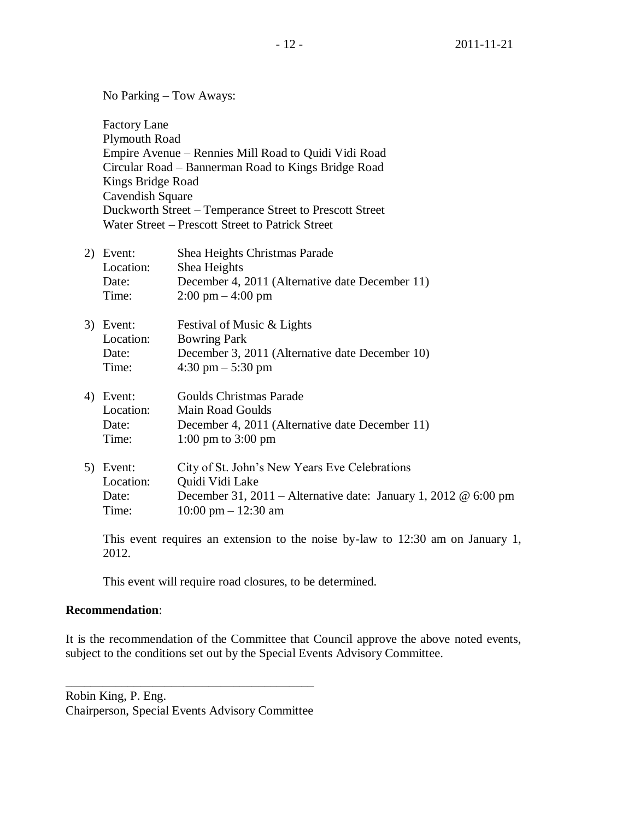No Parking – Tow Aways: Factory Lane Plymouth Road Empire Avenue – Rennies Mill Road to Quidi Vidi Road Circular Road – Bannerman Road to Kings Bridge Road Kings Bridge Road Cavendish Square Duckworth Street – Temperance Street to Prescott Street Water Street – Prescott Street to Patrick Street 2) Event: Shea Heights Christmas Parade

- Location: Shea Heights Date: December 4, 2011 (Alternative date December 11) Time: 2:00 pm – 4:00 pm
- 3) Event: Festival of Music & Lights Location: Bowring Park Date: December 3, 2011 (Alternative date December 10) Time: 4:30 pm – 5:30 pm
- 4) Event: Goulds Christmas Parade Location: Main Road Goulds Date: December 4, 2011 (Alternative date December 11) Time: 1:00 pm to 3:00 pm
- 5) Event: City of St. John's New Years Eve Celebrations Location: Quidi Vidi Lake Date: December 31, 2011 – Alternative date: January 1, 2012 @ 6:00 pm Time: 10:00 pm – 12:30 am

This event requires an extension to the noise by-law to 12:30 am on January 1, 2012.

This event will require road closures, to be determined.

# **Recommendation**:

It is the recommendation of the Committee that Council approve the above noted events, subject to the conditions set out by the Special Events Advisory Committee.

Robin King, P. Eng. Chairperson, Special Events Advisory Committee

\_\_\_\_\_\_\_\_\_\_\_\_\_\_\_\_\_\_\_\_\_\_\_\_\_\_\_\_\_\_\_\_\_\_\_\_\_\_\_\_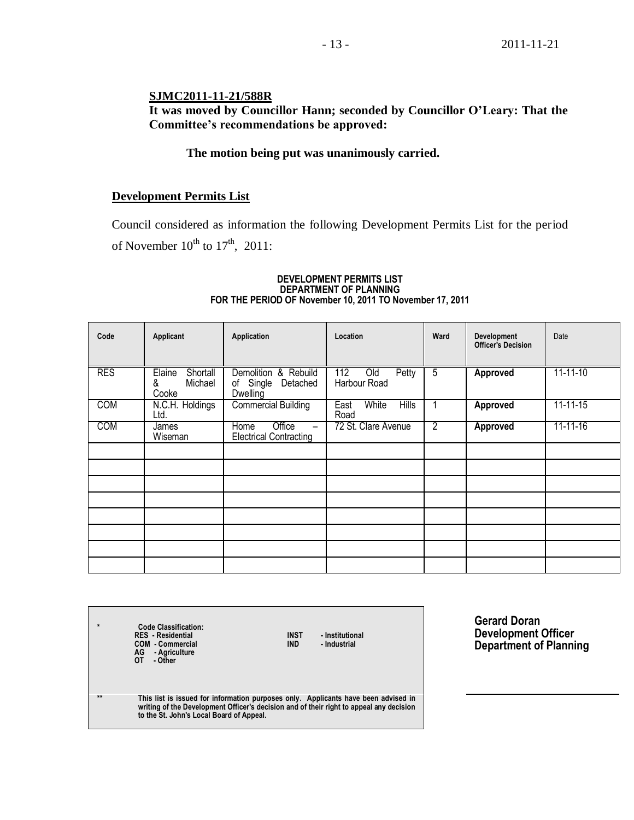## **SJMC2011-11-21/588R**

# **It was moved by Councillor Hann; seconded by Councillor O'Leary: That the Committee's recommendations be approved:**

## **The motion being put was unanimously carried.**

## **Development Permits List**

Council considered as information the following Development Permits List for the period of November  $10^{th}$  to  $17^{th}$ , 2011:

#### **DEVELOPMENT PERMITS LIST DEPARTMENT OF PLANNING FOR THE PERIOD OF November 10, 2011 TO November 17, 2011**

| Code       | Applicant                                   | Application                                                                 | Location                              | Ward           | <b>Development</b><br><b>Officer's Decision</b> | Date           |
|------------|---------------------------------------------|-----------------------------------------------------------------------------|---------------------------------------|----------------|-------------------------------------------------|----------------|
| <b>RES</b> | Shortall<br>Elaine<br>&<br>Michael<br>Cooke | Demolition & Rebuild<br>of Single<br>Detached<br>Dwelling                   | 112<br>Petty<br>Old<br>Harbour Road   | $\overline{5}$ | <b>Approved</b>                                 | 11-11-10       |
| <b>COM</b> | N.C.H. Holdings<br>Ltd.                     | <b>Commercial Building</b>                                                  | White<br><b>Hills</b><br>East<br>Road |                | <b>Approved</b>                                 | $11 - 11 - 15$ |
| <b>COM</b> | James<br>Wiseman                            | Office<br>Home<br>$\overline{\phantom{m}}$<br><b>Electrical Contracting</b> | 72 St. Clare Avenue                   | $\overline{2}$ | <b>Approved</b>                                 | 11-11-16       |
|            |                                             |                                                                             |                                       |                |                                                 |                |
|            |                                             |                                                                             |                                       |                |                                                 |                |
|            |                                             |                                                                             |                                       |                |                                                 |                |
|            |                                             |                                                                             |                                       |                |                                                 |                |
|            |                                             |                                                                             |                                       |                |                                                 |                |
|            |                                             |                                                                             |                                       |                |                                                 |                |
|            |                                             |                                                                             |                                       |                |                                                 |                |
|            |                                             |                                                                             |                                       |                |                                                 |                |

**\* Code Classification: RES - Residential INST - Institutional COM - Commercial IND - Industrial AG - Agriculture OT - Other**

**Gerard Doran Development Officer Department of Planning**

**\*\* This list is issued for information purposes only. Applicants have been advised in writing of the Development Officer's decision and of their right to appeal any decision to the St. John's Local Board of Appeal.**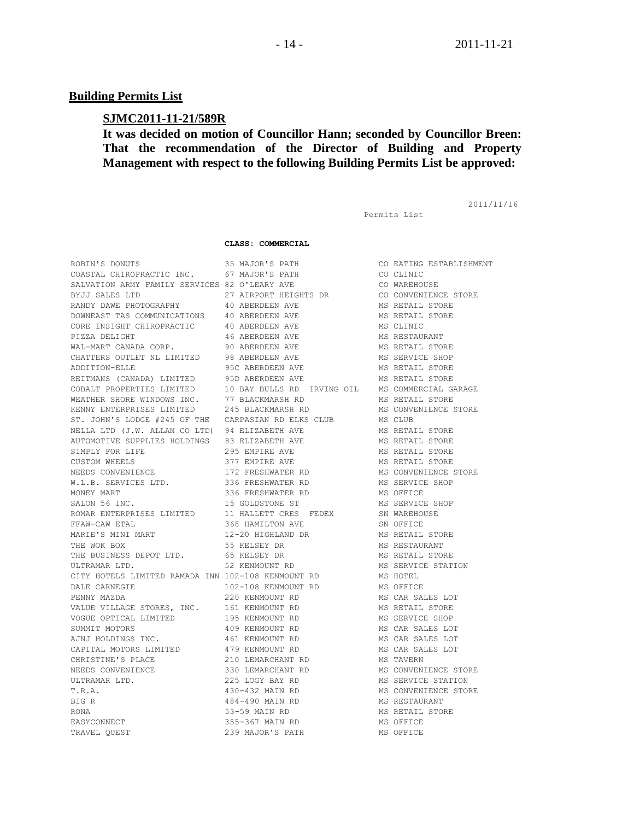#### **Building Permits List**

#### **SJMC2011-11-21/589R**

# **It was decided on motion of Councillor Hann; seconded by Councillor Breen: That the recommendation of the Director of Building and Property Management with respect to the following Building Permits List be approved:**

Permits List

2011/11/16

#### **CLASS: COMMERCIAL**

| ROBIN'S DONUTS                                                                 | 35 MAJOR'S PATH                                             | CO EATING EST                     |
|--------------------------------------------------------------------------------|-------------------------------------------------------------|-----------------------------------|
|                                                                                |                                                             | CO CLINIC                         |
|                                                                                |                                                             | CO WAREHOUSE                      |
|                                                                                |                                                             | CO CONVENIENC                     |
|                                                                                |                                                             | MS RETAIL STO                     |
| DOWNEAST TAS COMMUNICATIONS 40 ABERDEEN AVE                                    |                                                             | MS RETAIL STO                     |
| CORE INSIGHT CHIROPRACTIC                                                      | 40 ABERDEEN AVE                                             | MS CLINIC                         |
| PIZZA DELIGHT                                                                  | 46 ABERDEEN AVE                                             | MS RESTAURANT                     |
| WAL-MART CANADA CORP.                                                          | 90 ABERDEEN AVE                                             | MS RETAIL STO                     |
| CHATTERS OUTLET NL LIMITED                                                     | 98 ABERDEEN AVE                                             | MS SERVICE SH                     |
| ADDITION-ELLE                                                                  |                                                             | MS RETAIL STO                     |
| ADDITION DULL<br>REITMANS (CANADA) LIMITED                                     | 95C ABERDEEN AVE<br>95D ABERDEEN AVE<br>95D ABERDEEN AVE    | MS RETAIL STO                     |
| COBALT PROPERTIES LIMITED                                                      | 10 BAY BULLS RD IRVING OIL MS COMMERCIAL                    |                                   |
| WEATHER SHORE WINDOWS INC. 77 BLACKMARSH RD                                    |                                                             | MS RETAIL STO                     |
| KENNY ENTERPRISES LIMITED                                                      | 245 BLACKMARSH RD                                           | MS CONVENIENC                     |
|                                                                                | ST. JOHN'S LODGE #245 OF THE CARPASIAN RD ELKS CLUB MS CLUB |                                   |
| NELLA LTD (J.W. ALLAN CO LTD) 94 ELIZABETH AVE                                 |                                                             | MS RETAIL STO                     |
| AUTOMOTIVE SUPPLIES HOLDINGS 83 ELIZABETH AVE                                  |                                                             | MS RETAIL STO                     |
| SIMPLY FOR LIFE                                                                | 295 EMPIRE AVE                                              | MS RETAIL STO                     |
|                                                                                |                                                             |                                   |
| CUSTOM WHEELS<br>NEEDS CONVENIENCE<br>W.L.R SERVITS                            | 377 EMPIRE AVE<br>172 FRESHWATER RD                         | MS RETAIL STO<br>MS CONVENIENC    |
| W.L.B. SERVICES LTD.                                                           | 336 FRESHWATER RD                                           | MS SERVICE SH                     |
| MONEY MART                                                                     |                                                             | MS OFFICE                         |
| SALON 56 INC.                                                                  | 336 FRESHWATER RD<br>15 GOLDSTONE ST                        | MS SERVICE SH                     |
|                                                                                |                                                             |                                   |
| FFAW-CAW ETAL                                                                  | 368 HAMILTON AVE                                            | SN OFFICE                         |
|                                                                                | MARIE'S MINI MART 12-20 HIGHLAND DR MS RETAIL STO           |                                   |
| THE WOK BOX                                                                    | 55 KELSEY DR                                                | MS RESTAURANT                     |
| THE BUSINESS DEPOT LTD. 65 KELSEY DR                                           | 55 KELSEY DR<br>65 KELSEY DR<br>52 KENMOUNT RD              | MS RETAIL STO                     |
| ULTRAMAR LTD.                                                                  |                                                             | MS SERVICE ST                     |
| CITY HOTELS LIMITED RAMADA INN 102-108 KENMOUNT RD                             |                                                             | MS HOTEL                          |
| DALE CARNEGIE                                                                  | 102-108 KENMOUNT RD                                         | MS OFFICE                         |
| PENNY MAZDA                                                                    | 220 KENMOUNT RD                                             | MS CAR SALES                      |
| VALUE VILLAGE STORES, INC.                                                     | 161 KENMOUNT RD                                             | MS RETAIL STO                     |
| VOGUE OPTICAL LIMITED                                                          | 195 KENMOUNT RD                                             | MS SERVICE SH                     |
|                                                                                | 409 KENMOUNT RD                                             | MS CAR SALES                      |
|                                                                                | 461 KENMOUNT RD                                             | MS CAR SALES                      |
| AJNJ HOLDINGS INC.<br>CAPITAL MOTORS<br>CAPITAL MOTORS LIMITED 479 KENMOUNT RD |                                                             | MS CAR SALES                      |
| CHRISTINE'S PLACE                                                              | 210 LEMARCHANT RD                                           | MS TAVERN                         |
| NEEDS CONVENIENCE                                                              | 330 LEMARCHANT RD                                           | MS CONVENIENC                     |
| ULTRAMAR LTD.                                                                  | 225 LOGY BAY RD                                             | MS SERVICE ST                     |
| T.R.A.                                                                         | 430-432 MAIN RD                                             | MS CONVENIENC                     |
| BIG R                                                                          | 484-490 MAIN RD                                             | MS RESTAURANT                     |
| RONA                                                                           |                                                             | HOLLANT<br>MS RETAIL STO<br>MC CT |
| EASYCONNECT                                                                    | 355-367 MAIN RD                                             | MS OFFICE                         |
| TRAVEL QUEST                                                                   | 239 MAJOR'S PATH                                            | MS OFFICE                         |

| ' S<br>PATH          | CC |
|----------------------|----|
| $^{\rm r}$ S<br>PATH | CC |
| RY AVE               | CC |
| RT HEIGHTS DR        | CC |
| EEN AVE              | MS |
| EEN<br>AVE           | MS |
| EEN<br>AVE           | MS |
| EEN<br>AVE           | MS |
| EEN<br>AVE           | MS |
| EEN AVE              | MS |
| DEEN AVE             | MS |
| DEEN AVE             | MS |
| ULLS RD IRVING OIL   | MS |
| MARSH RD             | MS |
| KMARSH RD            | MS |
| N RD ELKS CLUB       | MS |
| BETH AVE             | MS |
| BETH AVE             | MS |
| RE AVE               | MS |
| RE AVE               | MS |
| HWATER<br>RD         | MS |
| HWATER RD            | MS |
| HWATER RD            | MS |
| TONE ST              | ΜS |
| TT CRES FEDEX        | SN |
| LTON AVE             | SN |
| GHLAND DR            | MS |
| Y DR                 | MS |
| Y DR                 | MS |
| UNT RD               | MS |
| KENMOUNT RD          | MS |
| KENMOUNT RD          | MS |
| OUNT RD              | MS |
| OUNT RD              | MS |
| OUNT<br>RD           | MS |
| OUNT RD              | ΜS |
| OUNT RD              | MS |
| OUNT<br><b>RD</b>    | MS |
| RCHANT RD            | MS |
| RCHANT RD            | MS |
| BAY RD               | MS |
| MAIN<br>RD           | MS |
| MAIN<br>RD           | MS |
| IN RD                | MS |
| MAIN RD              | MS |
| R'S PATH             | MS |
|                      |    |

ROBING ESTABLISHMENT WAREHOUSE CONVENIENCE STORE RETAIL STORE RETAIL STORE RESTAURANT RETAIL STORE SERVICE SHOP RETAIL STORE RETAIL STORE COMMERCIAL GARAGE RETAIL STORE CONVENIENCE STORE RETAIL STORE RETAIL STORE RETAIL STORE RETAIL STORE CONVENIENCE STORE SERVICE SHOP SERVICE SHOP WAR EHOUSE RETAIL STORE RETAIL STORE SERVICE STATION CAR SALES LOT RETAIL STORE SERVICE SHOP CAR SALES LOT CAR SALES LOT CAR SALES LOT CONVENIENCE STORE SERVICE STATION CONVENIENCE STORE **BESTAURANT** RETAIL STORE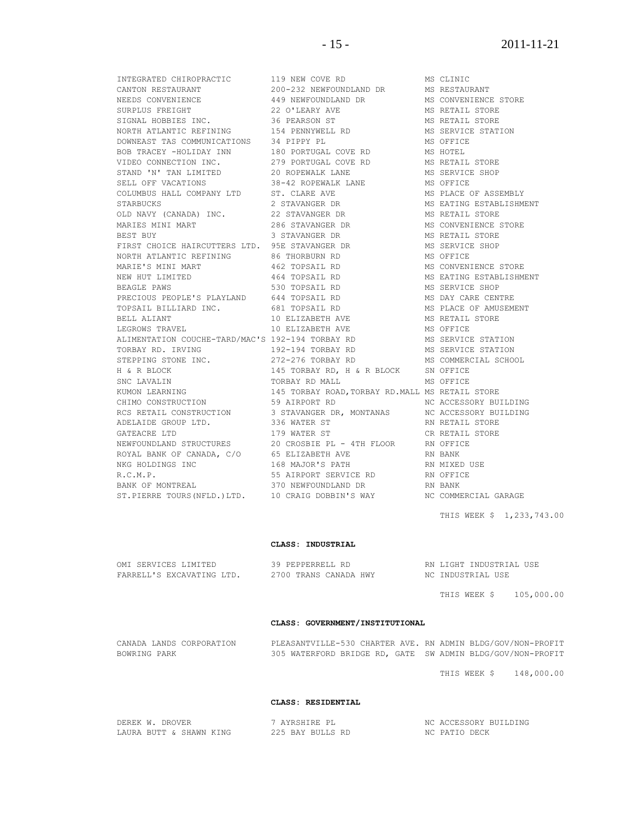THE SERVICE CHEROPRACTIC THE SUBSEXTION OF THE SERVICE STORE CANTON RESTAURANT CANTON RESTAURANT NEEDS CONVENIENCE STORE A<br>THE MS RESTAURANT MEEDS CONVENIENCE A 49 NEWFOUNDLAND DRAMS ON MS CONVENIENCE STORE SURPLUS FREIGHT 22 O'LEARY AVE MS RETAIL STORE SIGNAL HOBBIES INC. 36 PEARSON ST MS RETAIL STORE NORTH ATLANTIC REFINING 154 PENNYWELL RD MS SERVICE STATION DOWNEAST TAS COMMUNICATIONS 34 PIPPY PL MS OFFICE BOB TRACEY -HOLIDAY INN 180 PORTUGAL COVE RD MS HOTEL VIDEO CONNECTION INC. 279 PORTUGAL COVE RD MS RETAIL STORE STAND 'N' TAN LIMITED  $20$  ROPEWALK LANE MS SERVICE SHOP SELL OFF VACATIONS 38-42 ROPEWALK LANE MS OFFICE COLUMBUS HALL COMPANY LTD ST. CLARE AVE MS PLACE OF ASSEMBLY STARBUCKS 2 STAVANGER DR MS EATING ESTABLISHMENT OLD NAVY (CANADA) INC. 22 STAVANGER DR MS RETAIL STORE MARIES MINI MART **286 STAVANGER DR** MS CONVENIENCE STORE BEST BUY 3 STAVANGER DR MS RETAIL STORE FIRST CHOICE HAIRCUTTERS LTD. 95E STAVANGER DR MS SERVICE SHOP NORTH ATLANTIC REFINING 66 THORBURN RD 68 MS OFFICE MARIE'S MINI MART 462 TOPSAIL RD MS CONVENIENCE STORE NEW HUT LIMITED **164 TOPSAIL RD** MS EATING ESTABLISHMENT BEAGLE PAWS 530 TOPSAIL RD MS SERVICE SHOP PRECIOUS PEOPLE'S PLAYLAND 644 TOPSAIL RD MS DAY CARE CENTRE TOPSAIL BILLIARD INC. 681 TOPSAIL RD MS PLACE OF AMUSEMENT BELL ALIANT 10 ELIZABETH AVE MS RETAIL STORE LEGROWS TRAVEL **10 ELIZABETH AVE** MS OFFICE ALIMENTATION COUCHE-TARD/MAC'S 192-194 TORBAY RD MS SERVICE STATION TORBAY RD. IRVING 192-194 TORBAY RD MS SERVICE STATION STEPPING STONE INC. 272-276 TORBAY RD MS COMMERCIAL SCHOOL H & R BLOCK 145 TORBAY RD, H & R BLOCK SN OFFICE SNC LAVALIN TORBAY RD MALL MS OFFICE KUMON LEARNING 145 TORBAY ROAD,TORBAY RD.MALL MS RETAIL STORE CHIMO CONSTRUCTION 59 AIRPORT RD NC ACCESSORY BUILDING RCS RETAIL CONSTRUCTION 3 STAVANGER DR, MONTANAS NC ACCESSORY BUILDING ADELAIDE GROUP LTD. 336 WATER ST RN RETAIL STORE GATEACRE LTD 179 WATER ST CR RETAIL STORE NEWFOUNDLAND STRUCTURES 20 CROSBIE PL - 4TH FLOOR RN OFFICE ROYAL BANK OF CANADA, C/O 65 ELIZABETH AVE RN BANK NKG HOLDINGS INC 168 MAJOR'S PATH RN MIXED USE R.C.M.P. 55 AIRPORT SERVICE RD RN OFFICE BANK OF MONTREAL **370 NEWFOUNDLAND DR** RN BANK

INTEGRATED CHIROPRACTIC 119 NEW COVE RD MS CLINIC 449 NEWFOUNDLAND DR MS CONVENIENCE :<br>22 O'LEARY AVE MS RETAIL STORE ST.PIERRE TOURS(NFLD.)LTD. 10 CRAIG DOBBIN'S WAY NC COMMERCIAL GARAGE

THIS WEEK \$ 1,233,743.00

#### **CLASS: INDUSTRIAL**

| OMI SERVICES LIMITED      | 39 PEPPERRELL RD      | RN LIGHT INDUSTRIAL USE |
|---------------------------|-----------------------|-------------------------|
| FARRELL'S EXCAVATING LTD. | 2700 TRANS CANADA HWY | NC INDUSTRIAL USE       |

THIS WEEK \$ 105,000.00

#### **CLASS: GOVERNMENT/INSTITUTIONAL**

| CANADA LANDS CORPORATION | PLEASANTVILLE-530 CHARTER AVE. RN ADMIN BLDG/GOV/NON-PROFIT |  |
|--------------------------|-------------------------------------------------------------|--|
| BOWRING PARK             | 305 WATERFORD BRIDGE RD, GATE SW ADMIN BLDG/GOV/NON-PROFIT  |  |

THIS WEEK \$ 148,000.00

#### **CLASS: RESIDENTIAL**

| DEREK W. DROVER         | ` AYRSHIRE PL    | NC ACCESSORY BUILDING |
|-------------------------|------------------|-----------------------|
| LAURA BUTT & SHAWN KING | 225 BAY BULLS RD | NC PATIO DECK         |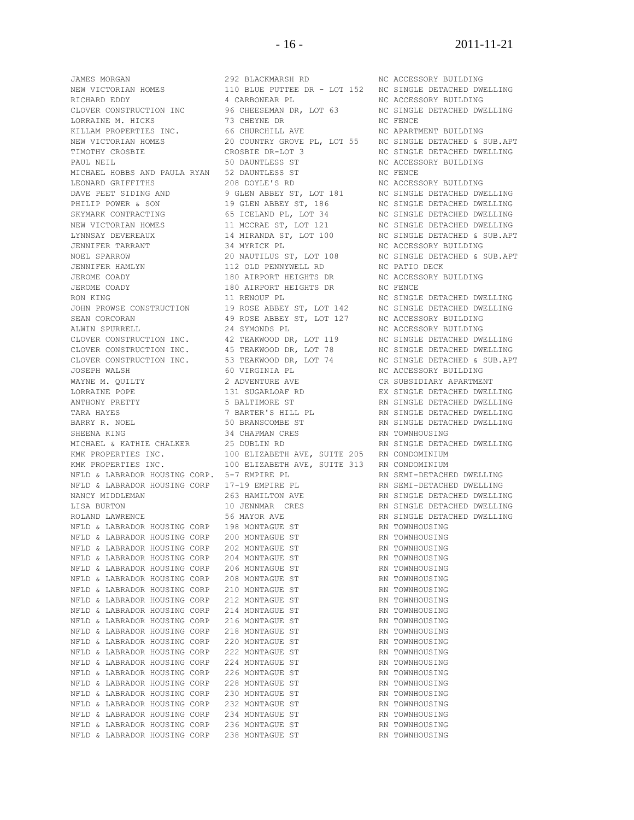JAMES MORGAN 292 BLACKMARSH RD NC ACCESSORY BUILDING<br>
NEW VICTORIAN HOMES 110 BLUE PUTTEE DR - LOT 152 NC SINGLE DETACHED DWN<br>
14 SINGLERS DR - LOT 152 NC SINGLE DETACHED DWN RICHARD EDDY 4 CARBONEAR PL NC ACCESSORY BUILDING CLOVER CONSTRUCTION INC 96 CHEESEMAN DR, LOT 63 NC SINGLE DETACHED DWELLING LORRAINE M. HICKS 73 CHEYNE DR NC FENCE KILLAM PROPERTIES INC. 66 CHURCHILL AVE NO APARTMENT BUILDING NEW VICTORIAN HOMES 20 COUNTRY GROVE PL, LOT 55 NC SINGLE DETACHED & SUB.APT<br>TIMOTHY CROSBIE OR CROSBIE DR-LOT 3 TIMOTHY CROSBIE CROSBIE DR-LOT 3 NC SINGLE DETACHED DWELLING PAUL NEIL **1980 CONTRACT SUPPOSE ST** 1990 DAUNTLESS ST NO ACCESSORY BUILDING MICHAEL HOBBS AND PAULA RYAN 52 DAUNTLESS ST NO NO FENCE<br>LEONARD GRIFFITHS 208 DOYLE'S RD NC ACCESS LEONARD GRIFFITHS 208 DOYLE'S RD NC ACCESSORY BUILDING DAVE PEET SIDING AND 9 GLEN ABBEY ST, LOT 181 NC SINGLE DETACHED DWELLING PHILIP POWER & SON 19 GLEN ABBEY ST, 186 NC SINGLE DETACHED DWELLING SKYMARK CONTRACTING 65 ICELAND PL, LOT 34 NC SINGLE DETACHED DWELLING NEW VICTORIAN HOMES 11 MCCRAE ST, LOT 121 NC SINGLE DETACHED DWELLING LYNNSAY DEVEREAUX 14 MIRANDA ST, LOT 100 NC SINGLE DETACHED & SUB.APT JENNIFER TARRANT 34 MYRICK PL NC ACCESSORY BUILDING NOEL SPARROW 20 NAUTILUS ST, LOT 108 NC SINGLE DETACHED & SUB.APT JENNIFER HAMLYN 112 OLD PENNYWELL RD NC PATIO DECK JEROME COADY 180 AIRPORT HEIGHTS DR NC ACCESSORY BUILDING JEROME COADY 180 AIRPORT HEIGHTS DR NC FENCE RON KING 11 RENOUF PL 11 RENOUF PL NC SINGLE DETACHED DWELLING JOHN PROWSE CONSTRUCTION 19 ROSE ABBEY ST, LOT 142 NC SINGLE DETACHED DWELLING SEAN CORCORAN **49 ROSE ABBEY ST, LOT 127** NC ACCESSORY BUILDING ALWIN SPURRELL **1988** 24 SYMONDS PL 24 NC ACCESSORY BUILDING CLOVER CONSTRUCTION INC. 42 TEAKWOOD DR, LOT 119 NC SINGLE DETACHED DWELLING CLOVER CONSTRUCTION INC. 45 TEAKWOOD DR, LOT 78 NC SINGLE DETACHED DWELLING CLOVER CONSTRUCTION INC. 53 TEAKWOOD DR, LOT 74 NC SINGLE DETACHED & SUB.APT JOSEPH WALSH 60 VIRGINIA PL NC ACCESSORY BUILDING WAYNE M. QUILTY **2** ADVENTURE AVE **CR SUBSIDIARY APARTMENT** LORRAINE POPE 131 SUGARLOAF RD EX SINGLE DETACHED DWELLING ANTHONY PRETTY **12 STALL AND A STALT STARTED ST** RN SINGLE DETACHED DWELLING TARA HAYES 7 BARTER'S HILL PL RN SINGLE DETACHED DWELLING BARRY R. NOEL 50 BRANSCOMBE ST RN SINGLE DETACHED DWELLING SHEENA KING 34 CHAPMAN CRES RN TOWNHOUSING MICHAEL & KATHIE CHALKER 25 DUBLIN RD RN SINGLE DETACHED DWELLING KMK PROPERTIES INC. 100 ELIZABETH AVE, SUITE 205 RN CONDOMINIUM KMK PROPERTIES INC. 100 ELIZABETH AVE, SUITE 313 RN CONDOMINIUM NFLD & LABRADOR HOUSING CORP. 5-7 EMPIRE PL<br>NFLD & LABRADOR HOUSING CORP 17-19 EMPIRE PL RN SEMI-DETACHED DWELLING<br>RN SEMI-DETACHED DWELLING NFLD & LABRADOR HOUSING CORP 17-19 EMPIRE PL RN SEMI-DETACHED DWELLING NANCY MIDDLEMAN 263 HAMILTON AVE RN SINGLE DETACHED DWELLING LISA BURTON 10 JENNMAR CRES RN SINGLE DETACHED DWELLING ROLAND LAWRENCE 56 MAYOR AVE RN SINGLE DETACHED DWELLING NFLD & LABRADOR HOUSING CORP 198 MONTAGUE ST **RADICAL REAL PORT ASSESSMENT RADICAL** NFLD & LABRADOR HOUSING CORP 200 MONTAGUE ST NFLD & LABRADOR HOUSING CORP 202 MONTAGUE ST NFLD & LABRADOR HOUSING CORP 204 MONTAGUE ST **RADIC REAL PROVINGUISING** NFLD & LABRADOR HOUSING CORP 206 MONTAGUE ST **RADIC REAL PRON** TOWNHOUSING NFLD & LABRADOR HOUSING CORP 208 MONTAGUE ST **RIGHT REAL PROMIN**OUSING NFLD & LABRADOR HOUSING CORP 210 MONTAGUE ST **RIGHT REAL PROMIN**OUSING NFLD & LABRADOR HOUSING CORP 212 MONTAGUE ST **RIGHT REAL PROMIN**OUSING NFLD & LABRADOR HOUSING CORP 214 MONTAGUE ST **RIGHT REAL PROMIN**OUSING NFLD & LABRADOR HOUSING CORP 218 MONTAGUE ST NFLD & LABRADOR HOUSING CORP 220 MONTAGUE ST NFLD & LABRADOR HOUSING CORP 222 MONTAGUE ST NFLD & LABRADOR HOUSING CORP 224 MONTAGUE ST NFLD & LABRADOR HOUSING CORP 226 MONTAGUE ST NFLD & LABRADOR HOUSING CORP 228 MONTAGUE ST<br>NFLD & LABRADOR HOUSING CORP 230 MONTAGUE ST NFLD & LABRADOR HOUSING CORP NFLD & LABRADOR HOUSING CORP 232 MONTAGUE ST NFLD & LABRADOR HOUSING CORP 234 MONTAGUE ST NFLD & LABRADOR HOUSING CORP 236 MONTAGUE ST

110 BLUE PUTTEE DR - LOT 152 NC SINGLE DETACHED DWELLING NFLD & LABRADOR HOUSING CORP 216 MONTAGUE ST RN TOWNHOUSING NFLD & LABRADOR HOUSING CORP 238 MONTAGUE ST RN TOWNHOUSING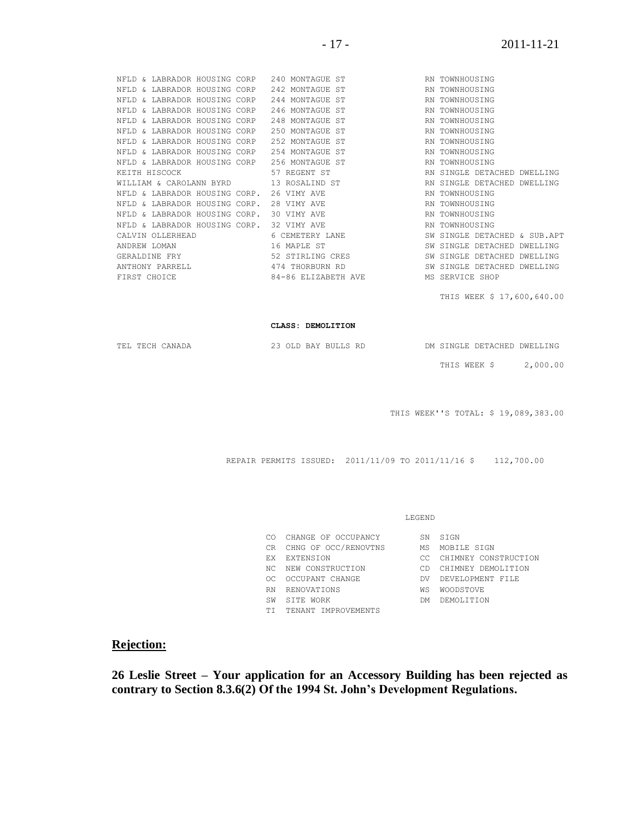| NFLD & LABRADOR HOUSING CORP 240 MONTAGUE ST |                                     | RN TOWNHOUSING               |
|----------------------------------------------|-------------------------------------|------------------------------|
| NFLD & LABRADOR HOUSING CORP 242 MONTAGUE ST |                                     | RN TOWNHOUSING               |
| NFLD & LABRADOR HOUSING CORP                 | 244 MONTAGUE ST                     | RN TOWNHOUSING               |
| NFLD & LABRADOR HOUSING CORP                 | 246 MONTAGUE ST                     | RN TOWNHOUSING               |
| NFLD & LABRADOR HOUSING CORP                 | 248 MONTAGUE ST                     | RN TOWNHOUSING               |
| NFLD & LABRADOR HOUSING CORP                 | 250 MONTAGUE ST                     | RN TOWNHOUSING               |
| NFLD & LABRADOR HOUSING CORP                 | 252 MONTAGUE ST                     | RN TOWNHOUSING               |
| NFLD & LABRADOR HOUSING CORP                 | 254 MONTAGUE ST                     | RN TOWNHOUSING               |
| NFLD & LABRADOR HOUSING CORP 256 MONTAGUE ST |                                     | RN TOWNHOUSING               |
| KEITH HISCOCK                                | 57 REGENT ST                        | RN SINGLE DETACHED DWELLING  |
| WILLIAM & CAROLANN BYRD 13 ROSALIND ST       |                                     | RN SINGLE DETACHED DWELLING  |
| NFLD & LABRADOR HOUSING CORP.                | 26 VIMY AVE                         | RN TOWNHOUSING               |
| NFLD & LABRADOR HOUSING CORP.                | 28 VIMY AVE                         | RN TOWNHOUSING               |
| NFLD & LABRADOR HOUSING CORP.                | 30 VIMY AVE                         | RN TOWNHOUSING               |
| NFLD & LABRADOR HOUSING CORP.                | 32 VIMY AVE                         | RN TOWNHOUSING               |
| CALVIN OLLERHEAD                             | 6 CEMETERY LANE                     | SW SINGLE DETACHED & SUB.APT |
| ANDREW LOMAN                                 | 16 MAPLE ST                         | SW SINGLE DETACHED DWELLING  |
| GERALDINE FRY                                | 52 STIRLING CRES                    | SW SINGLE DETACHED DWELLING  |
| ANTHONY PARRELL                              | 474 THORBURN RD                     | SW SINGLE DETACHED DWELLING  |
| FIRST CHOICE                                 | 84-86 ELIZABETH AVE MS SERVICE SHOP |                              |
|                                              |                                     | THIS WEEK \$ 17,600,640.00   |

#### **CLASS: DEMOLITION**

|  | TEL TECH CANADA |  | 23 OLD BAY BULLS RD |  |              | DM SINGLE DETACHED DWELLING |
|--|-----------------|--|---------------------|--|--------------|-----------------------------|
|  |                 |  |                     |  | THIS WEEK \$ | 2,000.00                    |

THIS WEEK''S TOTAL: \$ 19,089,383.00

REPAIR PERMITS ISSUED: 2011/11/09 TO 2011/11/16 \$ 112,700.00

#### LEGEND

| CO. | CHANGE OF OCCUPANCY     | SN  | STGN                 |
|-----|-------------------------|-----|----------------------|
|     | CR CHNG OF OCC/RENOVTNS | МS  | MOBILE SIGN          |
| FХ  | EXTENSION               | CC. | CHIMNEY CONSTRUCTION |
|     | NC NEW CONSTRUCTION     | CD. | CHIMNEY DEMOLITION   |
| OC. | OCCUPANT CHANGE         | DV. | DEVELOPMENT FILE     |
| RN. | RENOVATIONS             | WS  | <b>WOODSTOVE</b>     |
| SW  | SITE WORK               | DM. | DEMOLITION           |
| ТT  | TENANT IMPROVEMENTS     |     |                      |
|     |                         |     |                      |

# **Rejection:**

**26 Leslie Street – Your application for an Accessory Building has been rejected as contrary to Section 8.3.6(2) Of the 1994 St. John's Development Regulations.**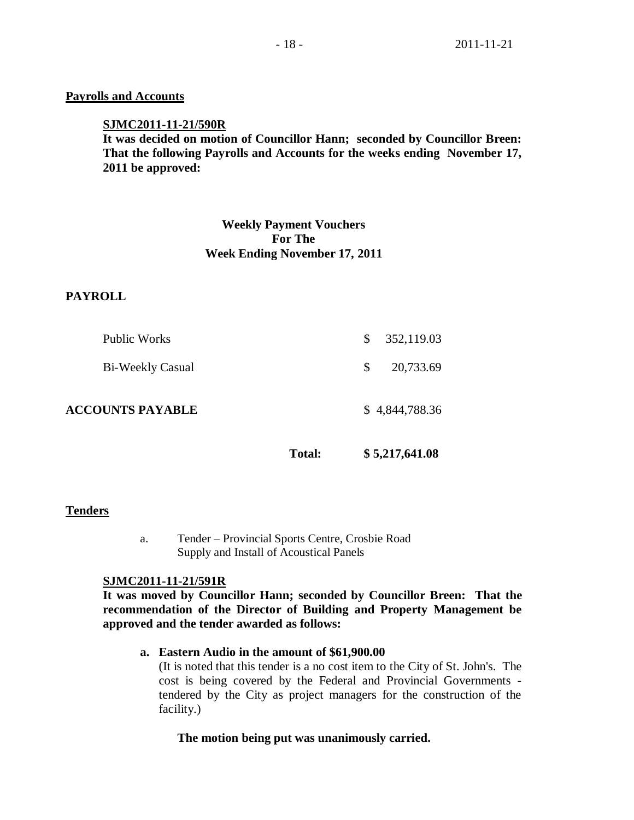# **Payrolls and Accounts**

## **SJMC2011-11-21/590R**

**It was decided on motion of Councillor Hann; seconded by Councillor Breen: That the following Payrolls and Accounts for the weeks ending November 17, 2011 be approved:** 

# **Weekly Payment Vouchers For The Week Ending November 17, 2011**

# **PAYROLL**

| <b>ACCOUNTS PAYABLE</b> |               | \$4,844,788.36 |
|-------------------------|---------------|----------------|
| <b>Bi-Weekly Casual</b> | <sup>\$</sup> | 20,733.69      |
| <b>Public Works</b>     | <sup>S</sup>  | 352,119.03     |

**Total: \$ 5,217,641.08**

# **Tenders**

a. Tender – Provincial Sports Centre, Crosbie Road Supply and Install of Acoustical Panels

# **SJMC2011-11-21/591R**

**It was moved by Councillor Hann; seconded by Councillor Breen: That the recommendation of the Director of Building and Property Management be approved and the tender awarded as follows:**

# **a. Eastern Audio in the amount of \$61,900.00**

(It is noted that this tender is a no cost item to the City of St. John's. The cost is being covered by the Federal and Provincial Governments tendered by the City as project managers for the construction of the facility.)

# **The motion being put was unanimously carried.**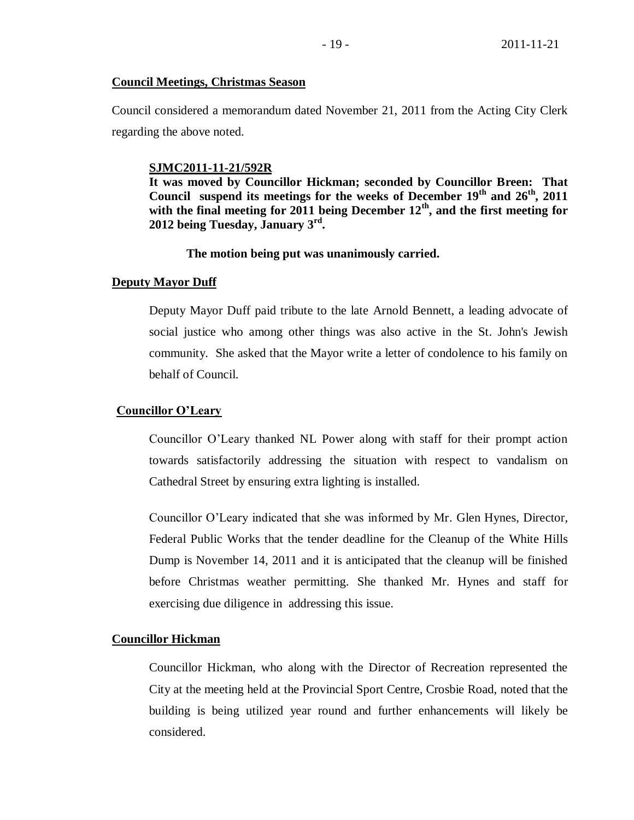## **Council Meetings, Christmas Season**

Council considered a memorandum dated November 21, 2011 from the Acting City Clerk regarding the above noted.

#### **SJMC2011-11-21/592R**

**It was moved by Councillor Hickman; seconded by Councillor Breen: That Council suspend its meetings for the weeks of December 19th and 26th, 2011**  with the final meeting for 2011 being December  $12^{th}$ , and the first meeting for **2012 being Tuesday, January 3rd .**

### **The motion being put was unanimously carried.**

#### **Deputy Mayor Duff**

Deputy Mayor Duff paid tribute to the late Arnold Bennett, a leading advocate of social justice who among other things was also active in the St. John's Jewish community. She asked that the Mayor write a letter of condolence to his family on behalf of Council.

#### **Councillor O'Leary**

Councillor O'Leary thanked NL Power along with staff for their prompt action towards satisfactorily addressing the situation with respect to vandalism on Cathedral Street by ensuring extra lighting is installed.

Councillor O'Leary indicated that she was informed by Mr. Glen Hynes, Director, Federal Public Works that the tender deadline for the Cleanup of the White Hills Dump is November 14, 2011 and it is anticipated that the cleanup will be finished before Christmas weather permitting. She thanked Mr. Hynes and staff for exercising due diligence in addressing this issue.

#### **Councillor Hickman**

Councillor Hickman, who along with the Director of Recreation represented the City at the meeting held at the Provincial Sport Centre, Crosbie Road, noted that the building is being utilized year round and further enhancements will likely be considered.